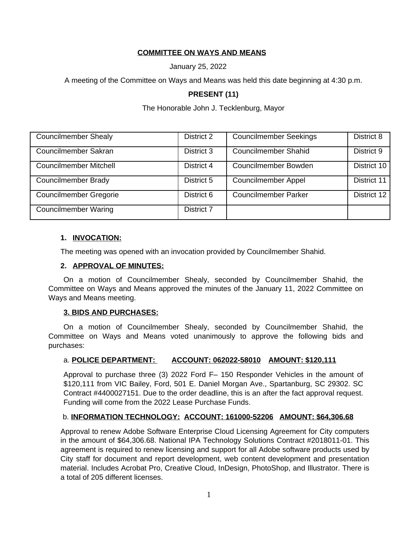# **COMMITTEE ON WAYS AND MEANS**

January 25, 2022

A meeting of the Committee on Ways and Means was held this date beginning at 4:30 p.m.

# **PRESENT (11)**

### The Honorable John J. Tecklenburg, Mayor

| <b>Councilmember Shealy</b>   | District 2 | <b>Councilmember Seekings</b> | District 8  |
|-------------------------------|------------|-------------------------------|-------------|
| Councilmember Sakran          | District 3 | <b>Councilmember Shahid</b>   | District 9  |
| <b>Councilmember Mitchell</b> | District 4 | Councilmember Bowden          | District 10 |
| <b>Councilmember Brady</b>    | District 5 | <b>Councilmember Appel</b>    | District 11 |
| <b>Councilmember Gregorie</b> | District 6 | <b>Councilmember Parker</b>   | District 12 |
| <b>Councilmember Waring</b>   | District 7 |                               |             |

### **1. INVOCATION:**

The meeting was opened with an invocation provided by Councilmember Shahid.

### **2. APPROVAL OF MINUTES:**

On a motion of Councilmember Shealy, seconded by Councilmember Shahid, the Committee on Ways and Means approved the minutes of the January 11, 2022 Committee on Ways and Means meeting.

#### **3. BIDS AND PURCHASES:**

On a motion of Councilmember Shealy, seconded by Councilmember Shahid, the Committee on Ways and Means voted unanimously to approve the following bids and purchases:

### a. **POLICE DEPARTMENT: ACCOUNT: 062022-58010 AMOUNT: \$120,111**

Approval to purchase three (3) 2022 Ford F– 150 Responder Vehicles in the amount of \$120,111 from VIC Bailey, Ford, 501 E. Daniel Morgan Ave., Spartanburg, SC 29302. SC Contract #4400027151. Due to the order deadline, this is an after the fact approval request. Funding will come from the 2022 Lease Purchase Funds.

### b. **INFORMATION TECHNOLOGY: ACCOUNT: 161000-52206 AMOUNT: \$64,306.68**

Approval to renew Adobe Software Enterprise Cloud Licensing Agreement for City computers in the amount of \$64,306.68. National IPA Technology Solutions Contract #2018011-01. This agreement is required to renew licensing and support for all Adobe software products used by City staff for document and report development, web content development and presentation material. Includes Acrobat Pro, Creative Cloud, InDesign, PhotoShop, and Illustrator. There is a total of 205 different licenses.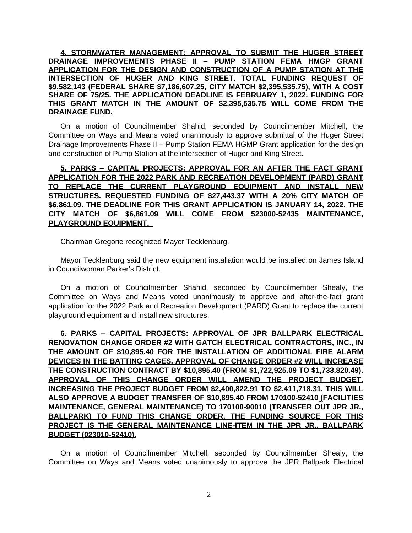**4. STORMWATER MANAGEMENT: APPROVAL TO SUBMIT THE HUGER STREET DRAINAGE IMPROVEMENTS PHASE II – PUMP STATION FEMA HMGP GRANT APPLICATION FOR THE DESIGN AND CONSTRUCTION OF A PUMP STATION AT THE INTERSECTION OF HUGER AND KING STREET. TOTAL FUNDING REQUEST OF \$9,582,143 (FEDERAL SHARE \$7,186,607.25, CITY MATCH \$2,395,535.75), WITH A COST SHARE OF 75/25. THE APPLICATION DEADLINE IS FEBRUARY 1, 2022. FUNDING FOR THIS GRANT MATCH IN THE AMOUNT OF \$2,395,535.75 WILL COME FROM THE DRAINAGE FUND.**

On a motion of Councilmember Shahid, seconded by Councilmember Mitchell, the Committee on Ways and Means voted unanimously to approve submittal of the Huger Street Drainage Improvements Phase II – Pump Station FEMA HGMP Grant application for the design and construction of Pump Station at the intersection of Huger and King Street.

**5. PARKS – CAPITAL PROJECTS: APPROVAL FOR AN AFTER THE FACT GRANT APPLICATION FOR THE 2022 PARK AND RECREATION DEVELOPMENT (PARD) GRANT TO REPLACE THE CURRENT PLAYGROUND EQUIPMENT AND INSTALL NEW STRUCTURES. REQUESTED FUNDING OF \$27,443.37 WITH A 20% CITY MATCH OF \$6,861.09. THE DEADLINE FOR THIS GRANT APPLICATION IS JANUARY 14, 2022. THE CITY MATCH OF \$6,861.09 WILL COME FROM 523000-52435 MAINTENANCE, PLAYGROUND EQUIPMENT.** 

Chairman Gregorie recognized Mayor Tecklenburg.

Mayor Tecklenburg said the new equipment installation would be installed on James Island in Councilwoman Parker's District.

On a motion of Councilmember Shahid, seconded by Councilmember Shealy, the Committee on Ways and Means voted unanimously to approve and after-the-fact grant application for the 2022 Park and Recreation Development (PARD) Grant to replace the current playground equipment and install new structures.

**6. PARKS – CAPITAL PROJECTS: APPROVAL OF JPR BALLPARK ELECTRICAL RENOVATION CHANGE ORDER #2 WITH GATCH ELECTRICAL CONTRACTORS, INC., IN THE AMOUNT OF \$10,895.40 FOR THE INSTALLATION OF ADDITIONAL FIRE ALARM DEVICES IN THE BATTING CAGES. APPROVAL OF CHANGE ORDER #2 WILL INCREASE THE CONSTRUCTION CONTRACT BY \$10,895.40 (FROM \$1,722,925.09 TO \$1,733,820.49). APPROVAL OF THIS CHANGE ORDER WILL AMEND THE PROJECT BUDGET, INCREASING THE PROJECT BUDGET FROM \$2,400,822.91 TO \$2,411,718.31. THIS WILL ALSO APPROVE A BUDGET TRANSFER OF \$10,895.40 FROM 170100-52410 (FACILITIES MAINTENANCE, GENERAL MAINTENANCE) TO 170100-90010 (TRANSFER OUT JPR JR., BALLPARK) TO FUND THIS CHANGE ORDER. THE FUNDING SOURCE FOR THIS PROJECT IS THE GENERAL MAINTENANCE LINE-ITEM IN THE JPR JR., BALLPARK BUDGET (023010-52410).**

On a motion of Councilmember Mitchell, seconded by Councilmember Shealy, the Committee on Ways and Means voted unanimously to approve the JPR Ballpark Electrical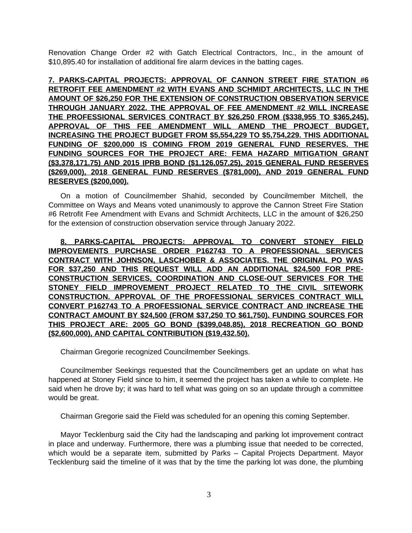Renovation Change Order #2 with Gatch Electrical Contractors, Inc., in the amount of \$10,895.40 for installation of additional fire alarm devices in the batting cages.

**7. PARKS-CAPITAL PROJECTS: APPROVAL OF CANNON STREET FIRE STATION #6 RETROFIT FEE AMENDMENT #2 WITH EVANS AND SCHMIDT ARCHITECTS, LLC IN THE AMOUNT OF \$26,250 FOR THE EXTENSION OF CONSTRUCTION OBSERVATION SERVICE THROUGH JANUARY 2022. THE APPROVAL OF FEE AMENDMENT #2 WILL INCREASE THE PROFESSIONAL SERVICES CONTRACT BY \$26,250 FROM (\$338,955 TO \$365,245). APPROVAL OF THIS FEE AMENDMENT WILL AMEND THE PROJECT BUDGET, INCREASING THE PROJECT BUDGET FROM \$5,554,229 TO \$5,754,229. THIS ADDITIONAL FUNDING OF \$200,000 IS COMING FROM 2019 GENERAL FUND RESERVES. THE FUNDING SOURCES FOR THE PROJECT ARE: FEMA HAZARD MITIGATION GRANT (\$3,378,171.75) AND 2015 IPRB BOND (\$1,126,057.25), 2015 GENERAL FUND RESERVES (\$269,000), 2018 GENERAL FUND RESERVES (\$781,000), AND 2019 GENERAL FUND RESERVES (\$200,000).**

On a motion of Councilmember Shahid, seconded by Councilmember Mitchell, the Committee on Ways and Means voted unanimously to approve the Cannon Street Fire Station #6 Retrofit Fee Amendment with Evans and Schmidt Architects, LLC in the amount of \$26,250 for the extension of construction observation service through January 2022.

**8. PARKS-CAPITAL PROJECTS: APPROVAL TO CONVERT STONEY FIELD IMPROVEMENTS PURCHASE ORDER P162743 TO A PROFESSIONAL SERVICES CONTRACT WITH JOHNSON, LASCHOBER & ASSOCIATES. THE ORIGINAL PO WAS FOR \$37,250 AND THIS REQUEST WILL ADD AN ADDITIONAL \$24,500 FOR PRE-CONSTRUCTION SERVICES, COORDINATION AND CLOSE-OUT SERVICES FOR THE STONEY FIELD IMPROVEMENT PROJECT RELATED TO THE CIVIL SITEWORK CONSTRUCTION. APPROVAL OF THE PROFESSIONAL SERVICES CONTRACT WILL CONVERT P162743 TO A PROFESSIONAL SERVICE CONTRACT AND INCREASE THE CONTRACT AMOUNT BY \$24,500 (FROM \$37,250 TO \$61,750). FUNDING SOURCES FOR THIS PROJECT ARE: 2005 GO BOND (\$399,048.85), 2018 RECREATION GO BOND (\$2,600,000), AND CAPITAL CONTRIBUTION (\$19,432.50).**

Chairman Gregorie recognized Councilmember Seekings.

Councilmember Seekings requested that the Councilmembers get an update on what has happened at Stoney Field since to him, it seemed the project has taken a while to complete. He said when he drove by; it was hard to tell what was going on so an update through a committee would be great.

Chairman Gregorie said the Field was scheduled for an opening this coming September.

Mayor Tecklenburg said the City had the landscaping and parking lot improvement contract in place and underway. Furthermore, there was a plumbing issue that needed to be corrected, which would be a separate item, submitted by Parks - Capital Projects Department. Mayor Tecklenburg said the timeline of it was that by the time the parking lot was done, the plumbing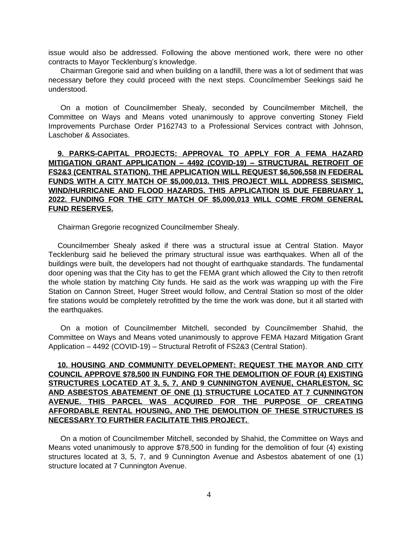issue would also be addressed. Following the above mentioned work, there were no other contracts to Mayor Tecklenburg's knowledge.

Chairman Gregorie said and when building on a landfill, there was a lot of sediment that was necessary before they could proceed with the next steps. Councilmember Seekings said he understood.

On a motion of Councilmember Shealy, seconded by Councilmember Mitchell, the Committee on Ways and Means voted unanimously to approve converting Stoney Field Improvements Purchase Order P162743 to a Professional Services contract with Johnson, Laschober & Associates.

# **9. PARKS-CAPITAL PROJECTS: APPROVAL TO APPLY FOR A FEMA HAZARD MITIGATION GRANT APPLICATION – 4492 (COVID-19) – STRUCTURAL RETROFIT OF FS2&3 (CENTRAL STATION). THE APPLICATION WILL REQUEST \$6,506,558 IN FEDERAL FUNDS WITH A CITY MATCH OF \$5,000,013. THIS PROJECT WILL ADDRESS SEISMIC, WIND/HURRICANE AND FLOOD HAZARDS. THIS APPLICATION IS DUE FEBRUARY 1, 2022. FUNDING FOR THE CITY MATCH OF \$5,000,013 WILL COME FROM GENERAL FUND RESERVES.**

Chairman Gregorie recognized Councilmember Shealy.

Councilmember Shealy asked if there was a structural issue at Central Station. Mayor Tecklenburg said he believed the primary structural issue was earthquakes. When all of the buildings were built, the developers had not thought of earthquake standards. The fundamental door opening was that the City has to get the FEMA grant which allowed the City to then retrofit the whole station by matching City funds. He said as the work was wrapping up with the Fire Station on Cannon Street, Huger Street would follow, and Central Station so most of the older fire stations would be completely retrofitted by the time the work was done, but it all started with the earthquakes.

On a motion of Councilmember Mitchell, seconded by Councilmember Shahid, the Committee on Ways and Means voted unanimously to approve FEMA Hazard Mitigation Grant Application – 4492 (COVID-19) – Structural Retrofit of FS2&3 (Central Station).

# **10. HOUSING AND COMMUNITY DEVELOPMENT: REQUEST THE MAYOR AND CITY COUNCIL APPROVE \$78,500 IN FUNDING FOR THE DEMOLITION OF FOUR (4) EXISTING STRUCTURES LOCATED AT 3, 5, 7, AND 9 CUNNINGTON AVENUE, CHARLESTON, SC AND ASBESTOS ABATEMENT OF ONE (1) STRUCTURE LOCATED AT 7 CUNNINGTON AVENUE. THIS PARCEL WAS ACQUIRED FOR THE PURPOSE OF CREATING AFFORDABLE RENTAL HOUSING, AND THE DEMOLITION OF THESE STRUCTURES IS NECESSARY TO FURTHER FACILITATE THIS PROJECT.**

On a motion of Councilmember Mitchell, seconded by Shahid, the Committee on Ways and Means voted unanimously to approve \$78,500 in funding for the demolition of four (4) existing structures located at 3, 5, 7, and 9 Cunnington Avenue and Asbestos abatement of one (1) structure located at 7 Cunnington Avenue.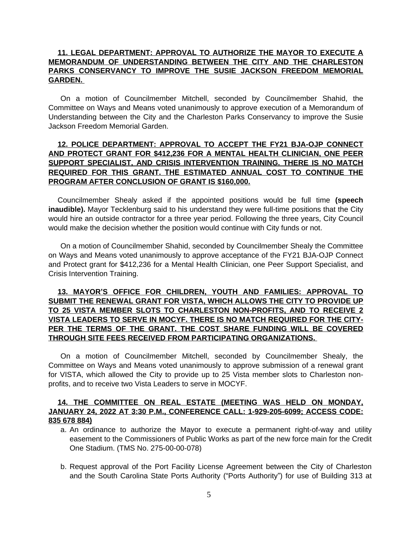### **11. LEGAL DEPARTMENT: APPROVAL TO AUTHORIZE THE MAYOR TO EXECUTE A MEMORANDUM OF UNDERSTANDING BETWEEN THE CITY AND THE CHARLESTON PARKS CONSERVANCY TO IMPROVE THE SUSIE JACKSON FREEDOM MEMORIAL GARDEN.**

On a motion of Councilmember Mitchell, seconded by Councilmember Shahid, the Committee on Ways and Means voted unanimously to approve execution of a Memorandum of Understanding between the City and the Charleston Parks Conservancy to improve the Susie Jackson Freedom Memorial Garden.

# **12. POLICE DEPARTMENT: APPROVAL TO ACCEPT THE FY21 BJA-OJP CONNECT AND PROTECT GRANT FOR \$412,236 FOR A MENTAL HEALTH CLINICIAN, ONE PEER SUPPORT SPECIALIST, AND CRISIS INTERVENTION TRAINING. THERE IS NO MATCH REQUIRED FOR THIS GRANT. THE ESTIMATED ANNUAL COST TO CONTINUE THE PROGRAM AFTER CONCLUSION OF GRANT IS \$160,000.**

Councilmember Shealy asked if the appointed positions would be full time **(speech inaudible).** Mayor Tecklenburg said to his understand they were full-time positions that the City would hire an outside contractor for a three year period. Following the three years, City Council would make the decision whether the position would continue with City funds or not.

On a motion of Councilmember Shahid, seconded by Councilmember Shealy the Committee on Ways and Means voted unanimously to approve acceptance of the FY21 BJA-OJP Connect and Protect grant for \$412,236 for a Mental Health Clinician, one Peer Support Specialist, and Crisis Intervention Training.

# **13. MAYOR'S OFFICE FOR CHILDREN, YOUTH AND FAMILIES: APPROVAL TO SUBMIT THE RENEWAL GRANT FOR VISTA, WHICH ALLOWS THE CITY TO PROVIDE UP TO 25 VISTA MEMBER SLOTS TO CHARLESTON NON-PROFITS, AND TO RECEIVE 2 VISTA LEADERS TO SERVE IN MOCYF. THERE IS NO MATCH REQUIRED FOR THE CITY-PER THE TERMS OF THE GRANT. THE COST SHARE FUNDING WILL BE COVERED THROUGH SITE FEES RECEIVED FROM PARTICIPATING ORGANIZATIONS.**

On a motion of Councilmember Mitchell, seconded by Councilmember Shealy, the Committee on Ways and Means voted unanimously to approve submission of a renewal grant for VISTA, which allowed the City to provide up to 25 Vista member slots to Charleston nonprofits, and to receive two Vista Leaders to serve in MOCYF.

### **14. THE COMMITTEE ON REAL ESTATE (MEETING WAS HELD ON MONDAY, JANUARY 24, 2022 AT 3:30 P.M., CONFERENCE CALL: 1-929-205-6099; ACCESS CODE: 835 678 884)**

- a. An ordinance to authorize the Mayor to execute a permanent right-of-way and utility easement to the Commissioners of Public Works as part of the new force main for the Credit One Stadium. (TMS No. 275-00-00-078)
- b. Request approval of the Port Facility License Agreement between the City of Charleston and the South Carolina State Ports Authority ("Ports Authority") for use of Building 313 at